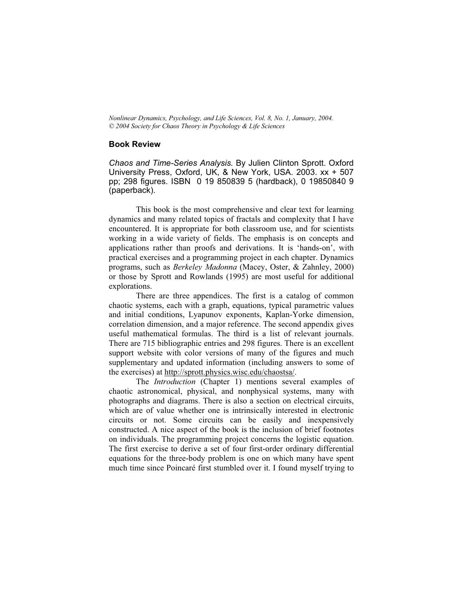Nonlinear Dynamics, Psychology, and Life Sciences, Vol.8, No.1, January, 2004. © 2004 Society for Chaos Theory in Psychology & Life Sciences

## Book Review

Chaos and Time-Series Analysis. By Julien Clinton Sprott. Oxford University Press, Oxford, UK, & New York, USA. 2003. xx + 507 pp; 298 figures. ISBN 0 19 850839 5 (hardback), 0 19850840 9 (paperback).

This book is the most comprehensive and clear text for learning dynamics and many related topics of fractals and complexity that I have encountered. It is appropriate for both classroom use, and for scientists working in a wide variety of fields. The emphasis is on concepts and applications rather than proofs and derivations. It is 'hands-on', with practical exercises and a programming project in each chapter. Dynamics programs, such as Berkeley Madonna (Macey, Oster, & Zahnley, 2000) or those by Sprott and Rowlands (1995) are most useful for additional explorations.

There are three appendices. The first is a catalog of common chaotic systems, each with a graph, equations, typical parametric values and initial conditions, Lyapunov exponents, Kaplan-Yorke dimension, correlation dimension, and a major reference. The second appendix gives useful mathematical formulas. The third is a list of relevant journals. There are 715 bibliographic entries and 298 figures. There is an excellent support website with color versions of many of the figures and much supplementary and updated information (including answers to some of the exercises)at http://sprott.physics.wisc.edu/chaostsa/.

The Introduction (Chapter 1) mentions several examples of chaotic astronomical, physical, and nonphysical systems, many with photographs and diagrams. There is also a section on electrical circuits, which are of value whether one is intrinsically interested in electronic circuits or not. Some circuits can be easily and inexpensively constructed. A nice aspect of the book is the inclusion of brief footnotes on individuals. The programming project concerns the logistic equation. The first exercise to derive a set of four first-order ordinary differential equations for the three-body problem is one on which many have spent much time since Poincaré first stumbled over it. I found myself trying to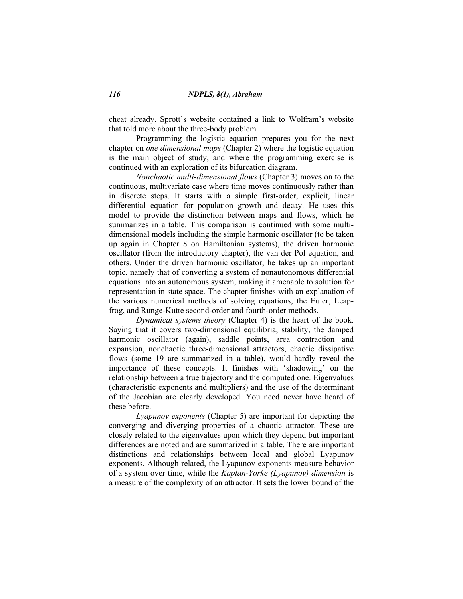cheat already. Sprott's website contained a link to Wolfram's website that told more about the three-body problem.

Programming the logistic equation prepares you for the next chapter on one dimensional maps (Chapter 2) where the logistic equation is the main object of study, and where the programming exercise is continued with an exploration of its bifurcation diagram.

Nonchaotic multi-dimensional flows (Chapter 3) moves on to the continuous, multivariate case where time moves continuously rather than in discrete steps. It starts with a simple first-order, explicit, linear differential equation for population growth and decay. He uses this model to provide the distinction between maps and flows, which he summarizes in a table. This comparison is continued with some multidimensional models including the simple harmonic oscillator (to be taken up again in Chapter 8 on Hamiltonian systems), the driven harmonic oscillator (from the introductory chapter), the van der Pol equation, and others. Under the driven harmonic oscillator, he takes up an important topic, namely that of converting a system of nonautonomous differential equations into an autonomous system, making it amenable to solution for representation in state space. The chapter finishes with an explanation of the various numerical methods of solving equations, the Euler, Leapfrog, and Runge-Kutte second-order and fourth-order methods.

Dynamical systems theory (Chapter 4) is the heart of the book. Saying that it covers two-dimensional equilibria, stability, the damped harmonic oscillator (again), saddle points, area contraction and expansion, nonchaotic three-dimensional attractors, chaotic dissipative flows (some 19 are summarized in a table), would hardly reveal the importance of these concepts. It finishes with 'shadowing' on the relationship between a true trajectory and the computed one. Eigenvalues (characteristic exponents and multipliers) and the use of the determinant of the Jacobian are clearly developed. You need never have heard of these before.

Lyapunov exponents (Chapter 5) are important for depicting the converging and diverging properties of a chaotic attractor. These are closely related to the eigenvalues upon which they depend but important differences are noted and are summarized in a table. There are important distinctions and relationships between local and global Lyapunov exponents. Although related, the Lyapunov exponents measure behavior of a system over time, while the Kaplan-Yorke (Lyapunov) dimension is a measure of the complexity of an attractor. It sets the lower bound of the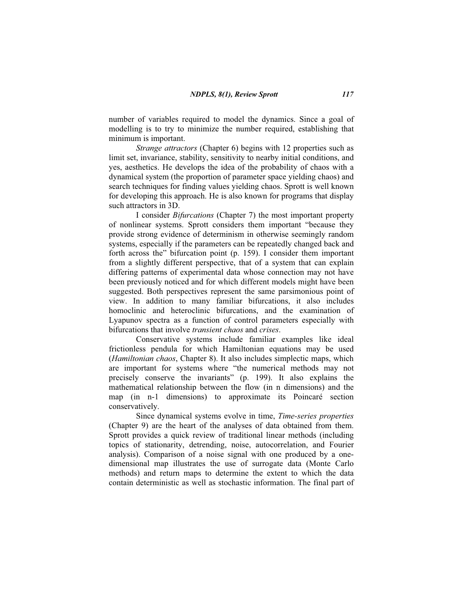number of variables required to model the dynamics. Since a goal of modelling is to try to minimize the number required, establishing that minimum is important.

Strange attractors (Chapter 6) begins with 12 properties such as limit set, invariance, stability, sensitivity to nearby initial conditions, and yes, aesthetics. He develops the idea of the probability of chaos with a dynamical system (the proportion of parameter space yielding chaos) and search techniques for finding values yielding chaos. Sprott is well known for developing this approach. He is also known for programs that display such attractors in 3D.

I consider Bifurcations (Chapter 7) the most important property of nonlinear systems. Sprott considers them important "because they provide strong evidence of determinism in otherwise seemingly random systems, especially if the parameters can be repeatedly changed back and forth across the" bifurcation point  $(p. 159)$ . I consider them important from a slightly different perspective, that of a system that can explain differing patterns of experimental data whose connection may not have been previously noticed and for which different models might have been suggested. Both perspectives represent the same parsimonious point of view. In addition to many familiar bifurcations, it also includes homoclinic and heteroclinic bifurcations, and the examination of Lyapunov spectra as a function of control parameters especially with bifurcations that involve transient chaos and crises.

Conservative systems include familiar examples like ideal frictionless pendula for which Hamiltonian equations may be used (Hamiltonian chaos, Chapter 8). It also includes simplectic maps, which are important for systems where "the numerical methods may not precisely conserve the invariants" (p. 199). It also explains the mathematical relationship between the flow (in n dimensions) and the map (in n-1 dimensions) to approximate its Poincaré section conservatively.

Since dynamical systems evolve in time, Time-series properties (Chapter 9) are the heart of the analyses of data obtained from them. Sprott provides a quick review of traditional linear methods (including topics of stationarity, detrending, noise, autocorrelation, and Fourier analysis). Comparison of a noise signal with one produced by a onedimensional map illustrates the use of surrogate data (Monte Carlo methods) and return maps to determine the extent to which the data contain deterministic as well as stochastic information. The final part of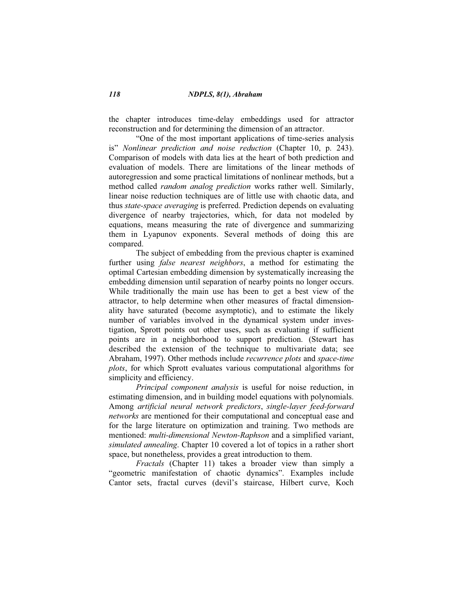the chapter introduces time-delay embeddings used for attractor reconstruction and for determining the dimension of an attractor.

"One of the most important applications of time-series analysis is" Nonlinear prediction and noise reduction (Chapter 10, p. 243). Comparison of models with data lies at the heart of both prediction and evaluation of models. There are limitations of the linear methods of autoregression and some practical limitations of nonlinear methods, but a method called random analog prediction works rather well. Similarly, linear noise reduction techniques are of little use with chaotic data, and thus state-space averaging is preferred. Prediction depends on evaluating divergence of nearby trajectories, which, for data not modeled by equations, means measuring the rate of divergence and summarizing them in Lyapunov exponents. Several methods of doing this are compared.

The subject of embedding from the previous chapter is examined further using *false nearest neighbors*, a method for estimating the optimal Cartesian embedding dimension by systematically increasing the embedding dimension until separation of nearby points no longer occurs. While traditionally the main use has been to get a best view of the attractor, to help determine when other measures of fractal dimensionality have saturated (become asymptotic), and to estimate the likely number of variables involved in the dynamical system under investigation, Sprott points out other uses, such as evaluating if sufficient points are in a neighborhood to support prediction. (Stewart has described the extension of the technique to multivariate data; see Abraham, 1997). Other methods include recurrence plots and space-time plots, for which Sprott evaluates various computational algorithms for simplicity and efficiency.

Principal component analysis is useful for noise reduction, in estimating dimension, and in building model equations with polynomials. Among artificial neural network predictors, single-layer feed-forward networks are mentioned for their computational and conceptual ease and for the large literature on optimization and training. Two methods are mentioned: multi-dimensional Newton-Raphson and a simplified variant, simulated annealing. Chapter 10 covered a lot of topics in a rather short space, but nonetheless, provides a great introduction to them.

Fractals (Chapter 11) takes a broader view than simply a "geometric manifestation of chaotic dynamics". Examples include Cantor sets, fractal curves (devil's staircase, Hilbert curve, Koch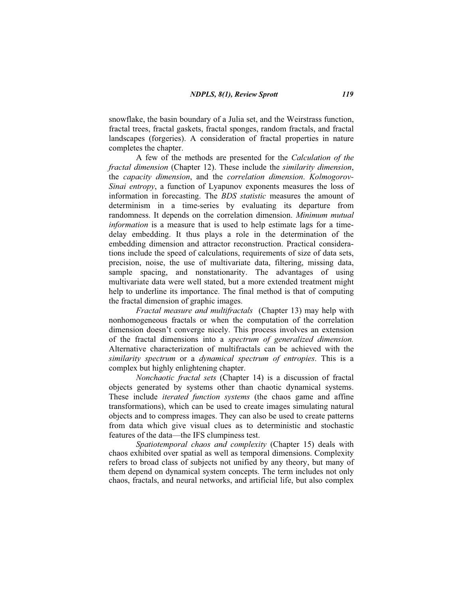snowflake, the basin boundary of a Julia set, and the Weirstrass function, fractal trees, fractal gaskets, fractal sponges, random fractals, and fractal landscapes (forgeries). A consideration of fractal properties in nature completes the chapter.

A few of the methods are presented for the Calculation of the fractal dimension (Chapter 12). These include the similarity dimension, the capacity dimension, and the correlation dimension. Kolmogorov-Sinai entropy, a function of Lyapunov exponents measures the loss of information in forecasting. The BDS statistic measures the amount of determinism in a time-series by evaluating its departure from randomness. It depends on the correlation dimension. Minimum mutual information is a measure that is used to help estimate lags for a timedelay embedding. It thus plays a role in the determination of the embedding dimension and attractor reconstruction. Practical considerations include the speed of calculations, requirements of size of data sets, precision, noise, the use of multivariate data, filtering, missing data, sample spacing, and nonstationarity. The advantages of using multivariate data were well stated, but a more extended treatment might help to underline its importance. The final method is that of computing the fractal dimension of graphic images.

Fractal measure and multifractals (Chapter 13) may help with nonhomogeneous fractals or when the computation of the correlation dimension doesn't converge nicely. This process involves an extension of the fractal dimensions into a spectrum of generalized dimension. Alternative characterization of multifractals can be achieved with the similarity spectrum or a dynamical spectrum of entropies. This is a complex but highly enlightening chapter.

Nonchaotic fractal sets (Chapter 14) is a discussion of fractal objects generated by systems other than chaotic dynamical systems. These include *iterated function systems* (the chaos game and affine transformations), which can be used to create images simulating natural objects and to compress images. They can also be used to create patterns from data which give visual clues as to deterministic and stochastic features of the data— the IFS clumpiness test.

Spatiotemporal chaos and complexity (Chapter 15) deals with chaos exhibited over spatial as well as temporal dimensions. Complexity refers to broad class of subjects not unified by any theory, but many of them depend on dynamical system concepts. The term includes not only chaos, fractals, and neural networks, and artificial life, but also complex